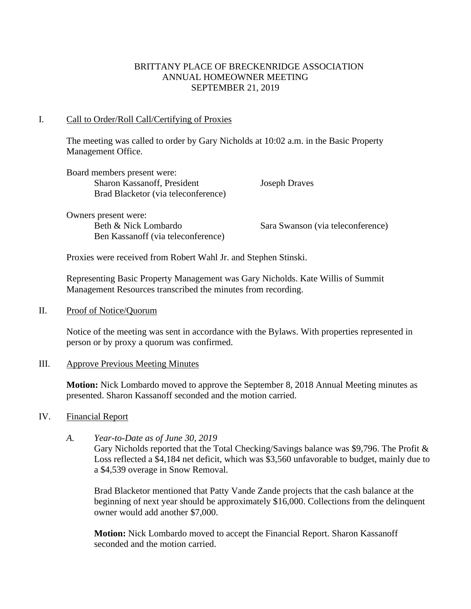## BRITTANY PLACE OF BRECKENRIDGE ASSOCIATION ANNUAL HOMEOWNER MEETING SEPTEMBER 21, 2019

## I. Call to Order/Roll Call/Certifying of Proxies

The meeting was called to order by Gary Nicholds at 10:02 a.m. in the Basic Property Management Office.

| Board members present were:         |
|-------------------------------------|
| Sharon Kassanoff, President         |
| Brad Blacketor (via teleconference) |

Owners present were: Beth & Nick Lombardo Sara Swanson (via teleconference) Ben Kassanoff (via teleconference)

**Joseph Draves** 

Proxies were received from Robert Wahl Jr. and Stephen Stinski.

Representing Basic Property Management was Gary Nicholds. Kate Willis of Summit Management Resources transcribed the minutes from recording.

## II. Proof of Notice/Quorum

Notice of the meeting was sent in accordance with the Bylaws. With properties represented in person or by proxy a quorum was confirmed.

## III. Approve Previous Meeting Minutes

**Motion:** Nick Lombardo moved to approve the September 8, 2018 Annual Meeting minutes as presented. Sharon Kassanoff seconded and the motion carried.

## IV. Financial Report

*A. Year-to-Date as of June 30, 2019*

Gary Nicholds reported that the Total Checking/Savings balance was \$9,796. The Profit & Loss reflected a \$4,184 net deficit, which was \$3,560 unfavorable to budget, mainly due to a \$4,539 overage in Snow Removal.

Brad Blacketor mentioned that Patty Vande Zande projects that the cash balance at the beginning of next year should be approximately \$16,000. Collections from the delinquent owner would add another \$7,000.

**Motion:** Nick Lombardo moved to accept the Financial Report. Sharon Kassanoff seconded and the motion carried.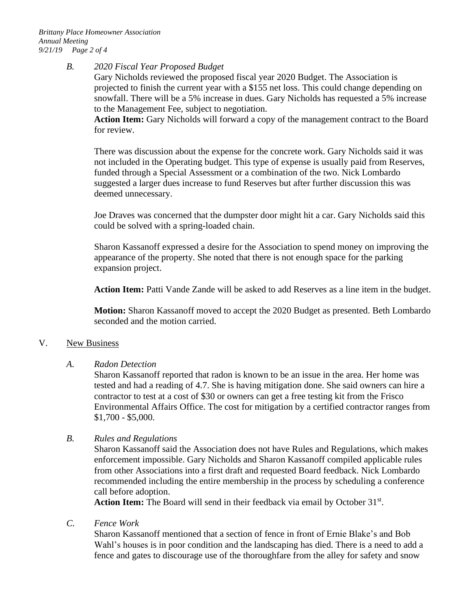## *B. 2020 Fiscal Year Proposed Budget*

Gary Nicholds reviewed the proposed fiscal year 2020 Budget. The Association is projected to finish the current year with a \$155 net loss. This could change depending on snowfall. There will be a 5% increase in dues. Gary Nicholds has requested a 5% increase to the Management Fee, subject to negotiation.

**Action Item:** Gary Nicholds will forward a copy of the management contract to the Board for review.

There was discussion about the expense for the concrete work. Gary Nicholds said it was not included in the Operating budget. This type of expense is usually paid from Reserves, funded through a Special Assessment or a combination of the two. Nick Lombardo suggested a larger dues increase to fund Reserves but after further discussion this was deemed unnecessary.

Joe Draves was concerned that the dumpster door might hit a car. Gary Nicholds said this could be solved with a spring-loaded chain.

Sharon Kassanoff expressed a desire for the Association to spend money on improving the appearance of the property. She noted that there is not enough space for the parking expansion project.

**Action Item:** Patti Vande Zande will be asked to add Reserves as a line item in the budget.

**Motion:** Sharon Kassanoff moved to accept the 2020 Budget as presented. Beth Lombardo seconded and the motion carried.

## V. New Business

## *A. Radon Detection*

Sharon Kassanoff reported that radon is known to be an issue in the area. Her home was tested and had a reading of 4.7. She is having mitigation done. She said owners can hire a contractor to test at a cost of \$30 or owners can get a free testing kit from the Frisco Environmental Affairs Office. The cost for mitigation by a certified contractor ranges from \$1,700 - \$5,000.

## *B. Rules and Regulations*

Sharon Kassanoff said the Association does not have Rules and Regulations, which makes enforcement impossible. Gary Nicholds and Sharon Kassanoff compiled applicable rules from other Associations into a first draft and requested Board feedback. Nick Lombardo recommended including the entire membership in the process by scheduling a conference call before adoption.

Action Item: The Board will send in their feedback via email by October 31<sup>st</sup>.

*C. Fence Work*

Sharon Kassanoff mentioned that a section of fence in front of Ernie Blake's and Bob Wahl's houses is in poor condition and the landscaping has died. There is a need to add a fence and gates to discourage use of the thoroughfare from the alley for safety and snow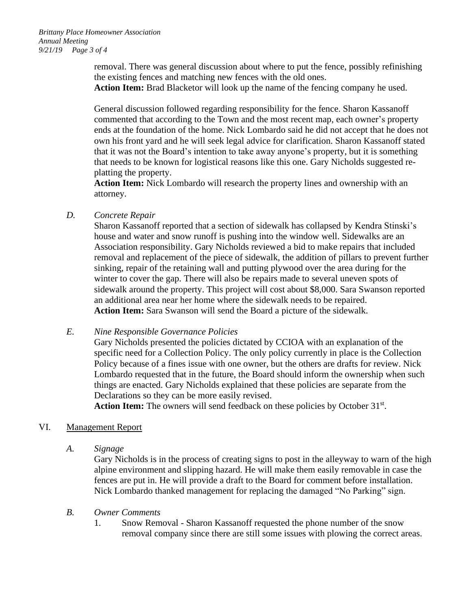removal. There was general discussion about where to put the fence, possibly refinishing the existing fences and matching new fences with the old ones.

**Action Item:** Brad Blacketor will look up the name of the fencing company he used.

General discussion followed regarding responsibility for the fence. Sharon Kassanoff commented that according to the Town and the most recent map, each owner's property ends at the foundation of the home. Nick Lombardo said he did not accept that he does not own his front yard and he will seek legal advice for clarification. Sharon Kassanoff stated that it was not the Board's intention to take away anyone's property, but it is something that needs to be known for logistical reasons like this one. Gary Nicholds suggested replatting the property.

**Action Item:** Nick Lombardo will research the property lines and ownership with an attorney.

*D. Concrete Repair*

Sharon Kassanoff reported that a section of sidewalk has collapsed by Kendra Stinski's house and water and snow runoff is pushing into the window well. Sidewalks are an Association responsibility. Gary Nicholds reviewed a bid to make repairs that included removal and replacement of the piece of sidewalk, the addition of pillars to prevent further sinking, repair of the retaining wall and putting plywood over the area during for the winter to cover the gap. There will also be repairs made to several uneven spots of sidewalk around the property. This project will cost about \$8,000. Sara Swanson reported an additional area near her home where the sidewalk needs to be repaired. **Action Item:** Sara Swanson will send the Board a picture of the sidewalk.

## *E. Nine Responsible Governance Policies*

Gary Nicholds presented the policies dictated by CCIOA with an explanation of the specific need for a Collection Policy. The only policy currently in place is the Collection Policy because of a fines issue with one owner, but the others are drafts for review. Nick Lombardo requested that in the future, the Board should inform the ownership when such things are enacted. Gary Nicholds explained that these policies are separate from the Declarations so they can be more easily revised.

Action Item: The owners will send feedback on these policies by October 31<sup>st</sup>.

# VI. Management Report

*A. Signage*

Gary Nicholds is in the process of creating signs to post in the alleyway to warn of the high alpine environment and slipping hazard. He will make them easily removable in case the fences are put in. He will provide a draft to the Board for comment before installation. Nick Lombardo thanked management for replacing the damaged "No Parking" sign.

# *B. Owner Comments*

1. Snow Removal - Sharon Kassanoff requested the phone number of the snow removal company since there are still some issues with plowing the correct areas.